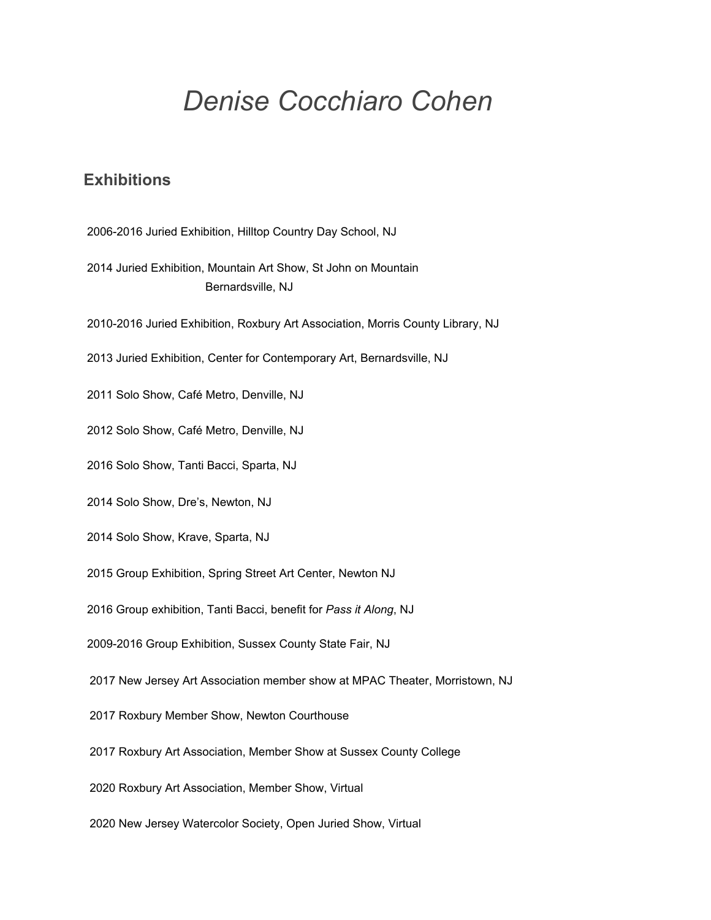# *Denise Cocchiaro Cohen*

## **Exhibitions**

2006-2016 Juried Exhibition, Hilltop Country Day School, NJ

 Juried Exhibition, Mountain Art Show, St John on Mountain Bernardsville, NJ

2010-2016 Juried Exhibition, Roxbury Art Association, Morris County Library, NJ

Juried Exhibition, Center for Contemporary Art, Bernardsville, NJ

Solo Show, Café Metro, Denville, NJ

Solo Show, Café Metro, Denville, NJ

Solo Show, Tanti Bacci, Sparta, NJ

Solo Show, Dre's, Newton, NJ

Solo Show, Krave, Sparta, NJ

Group Exhibition, Spring Street Art Center, Newton NJ

Group exhibition, Tanti Bacci, benefit for *Pass it Along*, NJ

2009-2016 Group Exhibition, Sussex County State Fair, NJ

New Jersey Art Association member show at MPAC Theater, Morristown, NJ

Roxbury Member Show, Newton Courthouse

Roxbury Art Association, Member Show at Sussex County College

Roxbury Art Association, Member Show, Virtual

New Jersey Watercolor Society, Open Juried Show, Virtual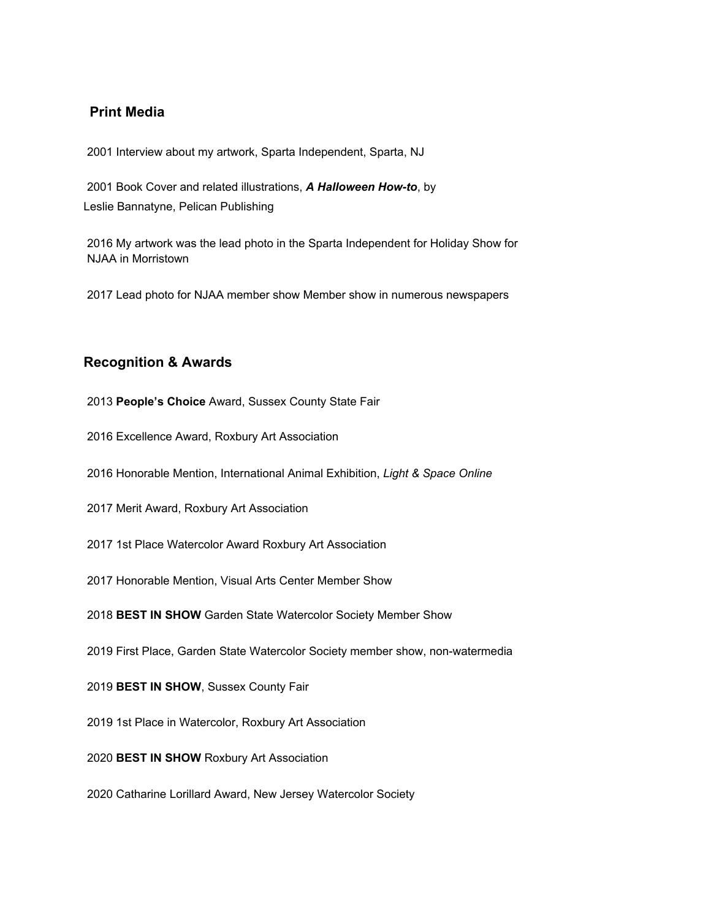#### **Print Media**

Interview about my artwork, Sparta Independent, Sparta, NJ

 Book Cover and related illustrations, *A Halloween How-to*, by Leslie Bannatyne, Pelican Publishing

 My artwork was the lead photo in the Sparta Independent for Holiday Show for NJAA in Morristown

Lead photo for NJAA member show Member show in numerous newspapers

#### **Recognition & Awards**

**People's Choice** Award, Sussex County State Fair

Excellence Award, Roxbury Art Association

Honorable Mention, International Animal Exhibition, *Light & Space Online*

Merit Award, Roxbury Art Association

1st Place Watercolor Award Roxbury Art Association

Honorable Mention, Visual Arts Center Member Show

**BEST IN SHOW** Garden State Watercolor Society Member Show

First Place, Garden State Watercolor Society member show, non-watermedia

**BEST IN SHOW**, Sussex County Fair

1st Place in Watercolor, Roxbury Art Association

**BEST IN SHOW** Roxbury Art Association

Catharine Lorillard Award, New Jersey Watercolor Society